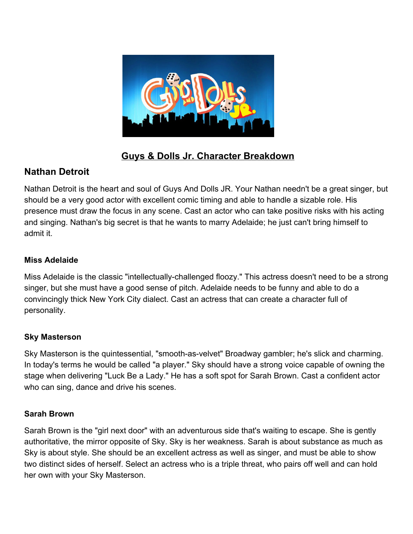

# **Guys & Dolls Jr. Character Breakdown**

# **Nathan Detroit**

Nathan Detroit is the heart and soul of Guys And Dolls JR. Your Nathan needn't be a great singer, but should be a very good actor with excellent comic timing and able to handle a sizable role. His presence must draw the focus in any scene. Cast an actor who can take positive risks with his acting and singing. Nathan's big secret is that he wants to marry Adelaide; he just can't bring himself to admit it.

# **Miss Adelaide**

Miss Adelaide is the classic "intellectually-challenged floozy." This actress doesn't need to be a strong singer, but she must have a good sense of pitch. Adelaide needs to be funny and able to do a convincingly thick New York City dialect. Cast an actress that can create a character full of personality.

### **Sky Masterson**

Sky Masterson is the quintessential, "smooth-as-velvet" Broadway gambler; he's slick and charming. In today's terms he would be called "a player." Sky should have a strong voice capable of owning the stage when delivering "Luck Be a Lady." He has a soft spot for Sarah Brown. Cast a confident actor who can sing, dance and drive his scenes.

### **Sarah Brown**

Sarah Brown is the "girl next door" with an adventurous side that's waiting to escape. She is gently authoritative, the mirror opposite of Sky. Sky is her weakness. Sarah is about substance as much as Sky is about style. She should be an excellent actress as well as singer, and must be able to show two distinct sides of herself. Select an actress who is a triple threat, who pairs off well and can hold her own with your Sky Masterson.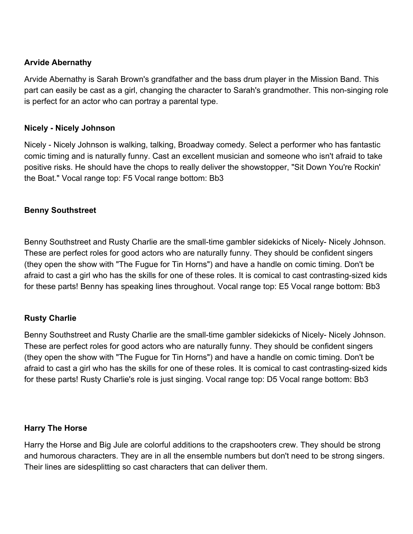### **Arvide Abernathy**

Arvide Abernathy is Sarah Brown's grandfather and the bass drum player in the Mission Band. This part can easily be cast as a girl, changing the character to Sarah's grandmother. This non-singing role is perfect for an actor who can portray a parental type.

#### **Nicely - Nicely Johnson**

Nicely - Nicely Johnson is walking, talking, Broadway comedy. Select a performer who has fantastic comic timing and is naturally funny. Cast an excellent musician and someone who isn't afraid to take positive risks. He should have the chops to really deliver the showstopper, "Sit Down You're Rockin' the Boat." Vocal range top: F5 Vocal range bottom: Bb3

### **Benny Southstreet**

Benny Southstreet and Rusty Charlie are the small-time gambler sidekicks of Nicely- Nicely Johnson. These are perfect roles for good actors who are naturally funny. They should be confident singers (they open the show with "The Fugue for Tin Horns") and have a handle on comic timing. Don't be afraid to cast a girl who has the skills for one of these roles. It is comical to cast contrasting-sized kids for these parts! Benny has speaking lines throughout. Vocal range top: E5 Vocal range bottom: Bb3

### **Rusty Charlie**

Benny Southstreet and Rusty Charlie are the small-time gambler sidekicks of Nicely- Nicely Johnson. These are perfect roles for good actors who are naturally funny. They should be confident singers (they open the show with "The Fugue for Tin Horns") and have a handle on comic timing. Don't be afraid to cast a girl who has the skills for one of these roles. It is comical to cast contrasting-sized kids for these parts! Rusty Charlie's role is just singing. Vocal range top: D5 Vocal range bottom: Bb3

#### **Harry The Horse**

Harry the Horse and Big Jule are colorful additions to the crapshooters crew. They should be strong and humorous characters. They are in all the ensemble numbers but don't need to be strong singers. Their lines are sidesplitting so cast characters that can deliver them.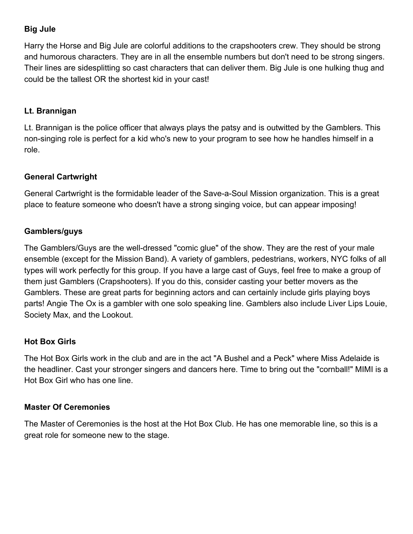## **Big Jule**

Harry the Horse and Big Jule are colorful additions to the crapshooters crew. They should be strong and humorous characters. They are in all the ensemble numbers but don't need to be strong singers. Their lines are sidesplitting so cast characters that can deliver them. Big Jule is one hulking thug and could be the tallest OR the shortest kid in your cast!

## **Lt. Brannigan**

Lt. Brannigan is the police officer that always plays the patsy and is outwitted by the Gamblers. This non-singing role is perfect for a kid who's new to your program to see how he handles himself in a role.

# **General Cartwright**

General Cartwright is the formidable leader of the Save-a-Soul Mission organization. This is a great place to feature someone who doesn't have a strong singing voice, but can appear imposing!

# **Gamblers/guys**

The Gamblers/Guys are the well-dressed "comic glue" of the show. They are the rest of your male ensemble (except for the Mission Band). A variety of gamblers, pedestrians, workers, NYC folks of all types will work perfectly for this group. If you have a large cast of Guys, feel free to make a group of them just Gamblers (Crapshooters). If you do this, consider casting your better movers as the Gamblers. These are great parts for beginning actors and can certainly include girls playing boys parts! Angie The Ox is a gambler with one solo speaking line. Gamblers also include Liver Lips Louie, Society Max, and the Lookout.

### **Hot Box Girls**

The Hot Box Girls work in the club and are in the act "A Bushel and a Peck" where Miss Adelaide is the headliner. Cast your stronger singers and dancers here. Time to bring out the "cornball!" MIMI is a Hot Box Girl who has one line.

### **Master Of Ceremonies**

The Master of Ceremonies is the host at the Hot Box Club. He has one memorable line, so this is a great role for someone new to the stage.